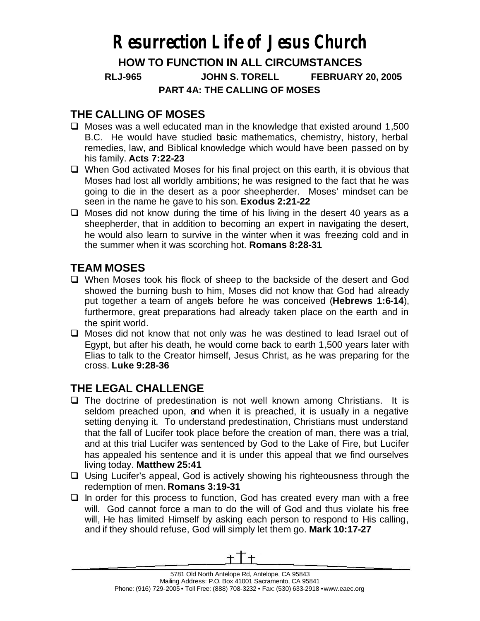## **Resurrection Life of Jesus Church**

**HOW TO FUNCTION IN ALL CIRCUMSTANCES** 

**RLJ-965 JOHN S. TORELL FEBRUARY 20, 2005**

**PART 4A: THE CALLING OF MOSES**

## **THE CALLING OF MOSES**

- $\Box$  Moses was a well educated man in the knowledge that existed around 1,500 B.C. He would have studied basic mathematics, chemistry, history, herbal remedies, law, and Biblical knowledge which would have been passed on by his family. **Acts 7:22-23**
- $\Box$  When God activated Moses for his final project on this earth, it is obvious that Moses had lost all worldly ambitions; he was resigned to the fact that he was going to die in the desert as a poor sheepherder. Moses' mindset can be seen in the name he gave to his son. **Exodus 2:21-22**
- $\Box$  Moses did not know during the time of his living in the desert 40 years as a sheepherder, that in addition to becoming an expert in navigating the desert, he would also learn to survive in the winter when it was freezing cold and in the summer when it was scorching hot. **Romans 8:28-31**

## **TEAM MOSES**

- $\Box$  When Moses took his flock of sheep to the backside of the desert and God showed the burning bush to him, Moses did not know that God had already put together a team of angels before he was conceived (**Hebrews 1:6-14**), furthermore, great preparations had already taken place on the earth and in the spirit world.
- $\Box$  Moses did not know that not only was he was destined to lead Israel out of Egypt, but after his death, he would come back to earth 1,500 years later with Elias to talk to the Creator himself, Jesus Christ, as he was preparing for the cross. **Luke 9:28-36**

## **THE LEGAL CHALLENGE**

- $\Box$  The doctrine of predestination is not well known among Christians. It is seldom preached upon, and when it is preached, it is usually in a negative setting denying it. To understand predestination, Christians must understand that the fall of Lucifer took place before the creation of man, there was a trial, and at this trial Lucifer was sentenced by God to the Lake of Fire, but Lucifer has appealed his sentence and it is under this appeal that we find ourselves living today. **Matthew 25:41**
- $\Box$  Using Lucifer's appeal, God is actively showing his righteousness through the redemption of men. **Romans 3:19-31**
- $\Box$  In order for this process to function, God has created every man with a free will. God cannot force a man to do the will of God and thus violate his free will, He has limited Himself by asking each person to respond to His calling, and if they should refuse, God will simply let them go. **Mark 10:17-27**